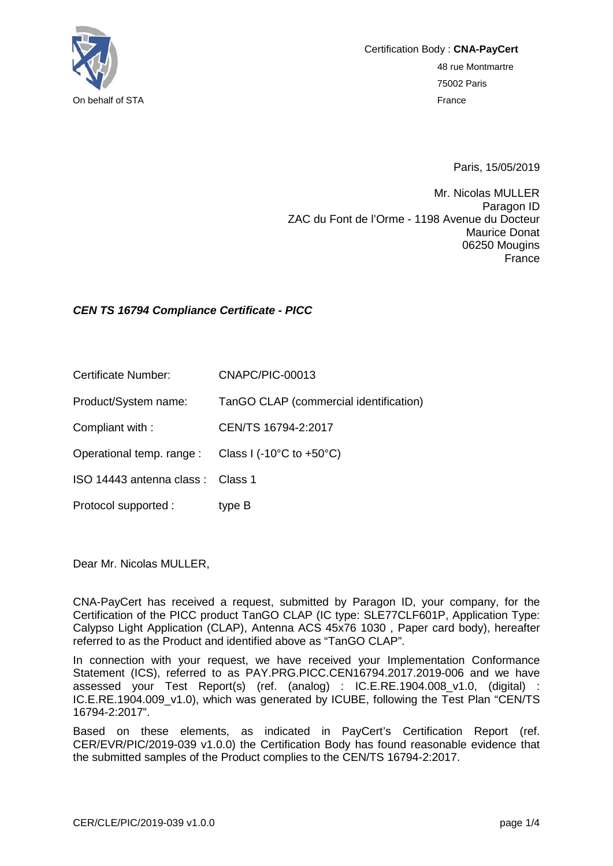

Paris, 15/05/2019

Mr. Nicolas MULLER Paragon ID ZAC du Font de l'Orme - 1198 Avenue du Docteur Maurice Donat 06250 Mougins France

## *CEN TS 16794 Compliance Certificate - PICC*

Certificate Number: CNAPC/PIC-00013

Product/System name: TanGO CLAP (commercial identification)

Compliant with : CEN/TS 16794-2:2017

Operational temp. range : Class I (-10°C to +50°C)

ISO 14443 antenna class : Class 1

Protocol supported : type B

Dear Mr. Nicolas MULLER,

CNA-PayCert has received a request, submitted by Paragon ID, your company, for the Certification of the PICC product TanGO CLAP (IC type: SLE77CLF601P, Application Type: Calypso Light Application (CLAP), Antenna ACS 45x76 1030 , Paper card body), hereafter referred to as the Product and identified above as "TanGO CLAP".

In connection with your request, we have received your Implementation Conformance Statement (ICS), referred to as PAY.PRG.PICC.CEN16794.2017.2019-006 and we have assessed your Test Report(s) (ref. (analog) : IC.E.RE.1904.008\_v1.0, (digital) : IC.E.RE.1904.009\_v1.0), which was generated by ICUBE, following the Test Plan "CEN/TS 16794-2:2017".

Based on these elements, as indicated in PayCert's Certification Report (ref. CER/EVR/PIC/2019-039 v1.0.0) the Certification Body has found reasonable evidence that the submitted samples of the Product complies to the CEN/TS 16794-2:2017.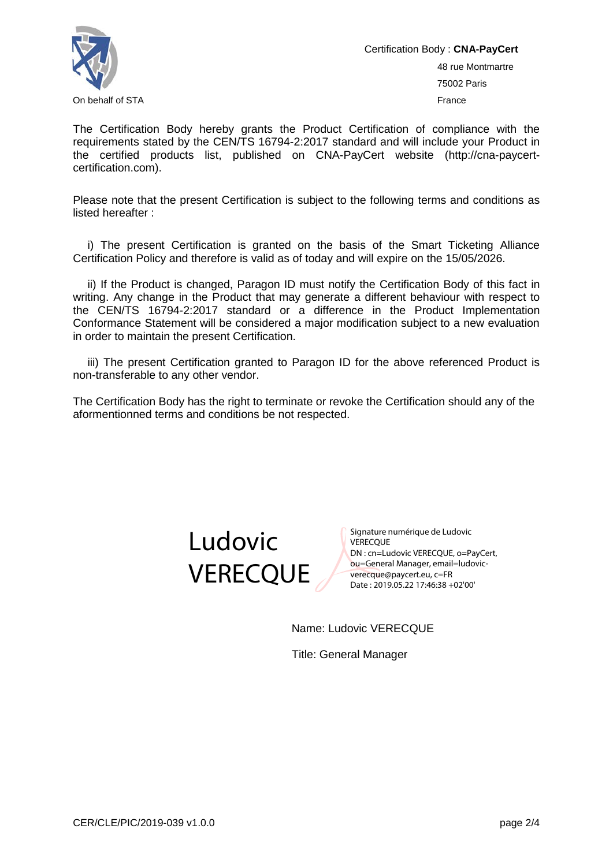

Certification Body : **CNA-PayCert** 48 rue Montmartre 75002 Paris On behalf of STA France Controller Controller Controller Controller Controller Controller Controller Controller Controller Controller Controller Controller Controller Controller Controller Controller Controller Controller

The Certification Body hereby grants the Product Certification of compliance with the requirements stated by the CEN/TS 16794-2:2017 standard and will include your Product in the certified products list, published on CNA-PayCert website (http://cna-paycertcertification.com).

Please note that the present Certification is subject to the following terms and conditions as listed hereafter :

i) The present Certification is granted on the basis of the Smart Ticketing Alliance Certification Policy and therefore is valid as of today and will expire on the 15/05/2026.

ii) If the Product is changed, Paragon ID must notify the Certification Body of this fact in writing. Any change in the Product that may generate a different behaviour with respect to the CEN/TS 16794-2:2017 standard or a difference in the Product Implementation Conformance Statement will be considered a major modification subject to a new evaluation in order to maintain the present Certification.

iii) The present Certification granted to Paragon ID for the above referenced Product is non-transferable to any other vendor.

The Certification Body has the right to terminate or revoke the Certification should any of the aformentionned terms and conditions be not respected.



Signature numérique de Ludovic **VERECOUE** DN : cn=Ludovic VERECQUE, o=PayCert, ou=General Manager, email=ludovicverecque@paycert.eu, c=FR Date : 2019.05.22 17:46:38 +02'00'

Name: Ludovic VERECQUE

Title: General Manager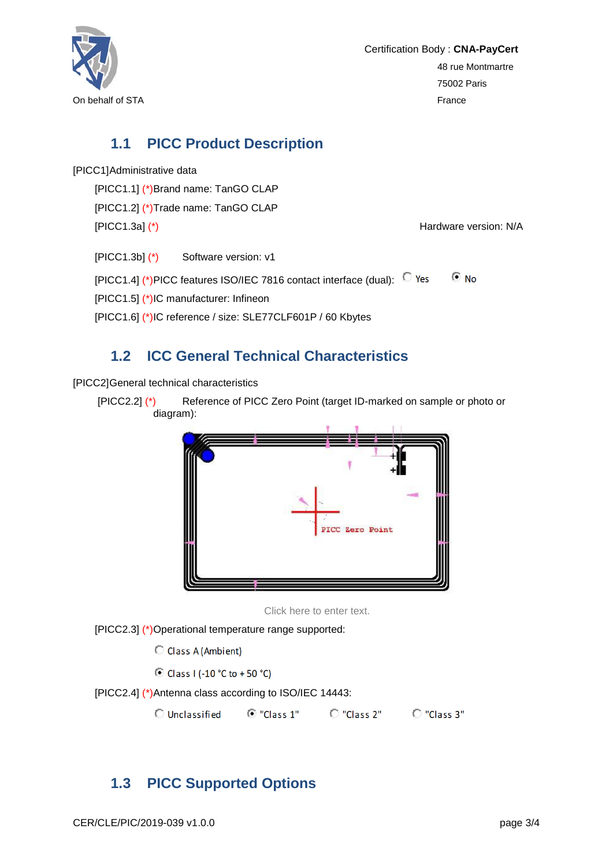

Certification Body : **CNA-PayCert** 48 rue Montmartre 75002 Paris

## **1.1 PICC Product Description**

[PICC1]Administrative data

[PICC1.1] (\*)Brand name: TanGO CLAP [PICC1.2] (\*)Trade name: TanGO CLAP [PICC1.3a] (\*) FICC1.3a] (\*)

[PICC1.3b] (\*) Software version: v1

[PICC1.4] (\*)PICC features ISO/IEC 7816 contact interface (dual): <a>  $\odot$  No [PICC1.5] (\*)IC manufacturer: Infineon [PICC1.6] (\*)IC reference / size: SLE77CLF601P / 60 Kbytes

## **1.2 ICC General Technical Characteristics**

[PICC2]General technical characteristics

[PICC2.2] (\*) Reference of PICC Zero Point (target ID-marked on sample or photo or diagram):



Click here to enter text.

[PICC2.3] (\*)Operational temperature range supported:

C Class A (Ambient)

© Class I (-10 °C to +50 °C)

[PICC2.4] (\*)Antenna class according to ISO/IEC 14443:

O Unclassified  $\overline{O}$  "Class 1"  $\overline{O}$  "Class 2"  $\overline{O}$  "Class 3"

## **1.3 PICC Supported Options**